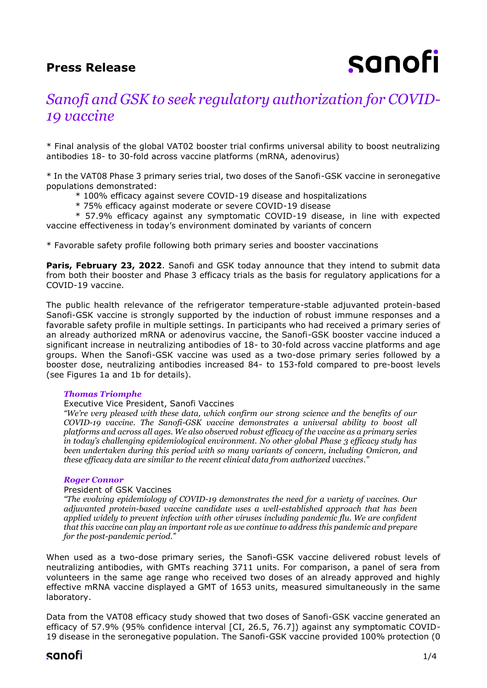# **Press Release**

# sanofi

# *Sanofi and GSK to seek regulatory authorization for COVID-19 vaccine*

\* Final analysis of the global VAT02 booster trial confirms universal ability to boost neutralizing antibodies 18- to 30-fold across vaccine platforms (mRNA, adenovirus)

\* In the VAT08 Phase 3 primary series trial, two doses of the Sanofi-GSK vaccine in seronegative populations demonstrated:

- \* 100% efficacy against severe COVID-19 disease and hospitalizations
- \* 75% efficacy against moderate or severe COVID-19 disease

\* 57.9% efficacy against any symptomatic COVID-19 disease, in line with expected vaccine effectiveness in today's environment dominated by variants of concern

\* Favorable safety profile following both primary series and booster vaccinations

**Paris, February 23, 2022.** Sanofi and GSK today announce that they intend to submit data from both their booster and Phase 3 efficacy trials as the basis for regulatory applications for a COVID-19 vaccine.

The public health relevance of the refrigerator temperature-stable adjuvanted protein-based Sanofi-GSK vaccine is strongly supported by the induction of robust immune responses and a favorable safety profile in multiple settings. In participants who had received a primary series of an already authorized mRNA or adenovirus vaccine, the Sanofi-GSK booster vaccine induced a significant increase in neutralizing antibodies of 18- to 30-fold across vaccine platforms and age groups. When the Sanofi-GSK vaccine was used as a two-dose primary series followed by a booster dose, neutralizing antibodies increased 84- to 153-fold compared to pre-boost levels (see Figures 1a and 1b for details).

#### *Thomas Triomphe*

#### Executive Vice President, Sanofi Vaccines

*"We're very pleased with these data, which confirm our strong science and the benefits of our COVID-19 vaccine. The Sanofi-GSK vaccine demonstrates a universal ability to boost all platforms and across all ages. We also observed robust efficacy of the vaccine as a primary series in today's challenging epidemiological environment. No other global Phase 3 efficacy study has been undertaken during this period with so many variants of concern, including Omicron, and these efficacy data are similar to the recent clinical data from authorized vaccines."*

#### *Roger Connor*

#### President of GSK Vaccines

*"The evolving epidemiology of COVID-19 demonstrates the need for a variety of vaccines. Our adjuvanted protein-based vaccine candidate uses a well-established approach that has been applied widely to prevent infection with other viruses including pandemic flu. We are confident that this vaccine can play an important role as we continue to address this pandemic and prepare for the post-pandemic period."*

When used as a two-dose primary series, the Sanofi-GSK vaccine delivered robust levels of neutralizing antibodies, with GMTs reaching 3711 units. For comparison, a panel of sera from volunteers in the same age range who received two doses of an already approved and highly effective mRNA vaccine displayed a GMT of 1653 units, measured simultaneously in the same laboratory.

Data from the VAT08 efficacy study showed that two doses of Sanofi-GSK vaccine generated an efficacy of 57.9% (95% confidence interval [CI, 26.5, 76.7]) against any symptomatic COVID-19 disease in the seronegative population. The Sanofi-GSK vaccine provided 100% protection (0

### sanofi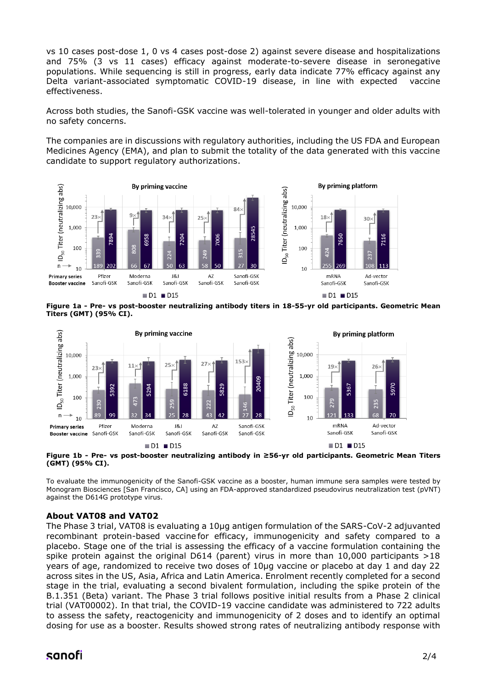vs 10 cases post-dose 1, 0 vs 4 cases post-dose 2) against severe disease and hospitalizations and 75% (3 vs 11 cases) efficacy against moderate-to-severe disease in seronegative populations. While sequencing is still in progress, early data indicate 77% efficacy against any Delta variant-associated symptomatic COVID-19 disease, in line with expected vaccine effectiveness.

Across both studies, the Sanofi-GSK vaccine was well-tolerated in younger and older adults with no safety concerns.

The companies are in discussions with regulatory authorities, including the US FDA and European Medicines Agency (EMA), and plan to submit the totality of the data generated with this vaccine candidate to support regulatory authorizations.



**Figure 1a - Pre- vs post-booster neutralizing antibody titers in 18-55-yr old participants. Geometric Mean Titers (GMT) (95% CI).**



**Figure 1b - Pre- vs post-booster neutralizing antibody in ≥56-yr old participants. Geometric Mean Titers (GMT) (95% CI).**

To evaluate the immunogenicity of the Sanofi-GSK vaccine as a booster, human immune sera samples were tested by Monogram Biosciences [San Francisco, CA] using an FDA-approved standardized pseudovirus neutralization test (pVNT) against the D614G prototype virus.

#### **About VAT08 and VAT02**

The Phase 3 trial, VAT08 is evaluating a 10µg antigen formulation of the SARS-CoV-2 adjuvanted recombinant protein-based vaccine for efficacy, immunogenicity and safety compared to a placebo. Stage one of the trial is assessing the efficacy of a vaccine formulation containing the spike protein against the original D614 (parent) virus in more than 10,000 participants  $>18$ years of age, randomized to receive two doses of 10µg vaccine or placebo at day 1 and day 22 across sites in the US, Asia, Africa and Latin America. Enrolment recently completed for a second stage in the trial, evaluating a second bivalent formulation, including the spike protein of the B.1.351 (Beta) variant. The Phase 3 trial follows positive initial results from a Phase 2 clinical trial (VAT00002). In that trial, the COVID-19 vaccine candidate was administered to 722 adults to assess the safety, reactogenicity and immunogenicity of 2 doses and to identify an optimal dosing for use as a booster. Results showed strong rates of neutralizing antibody response with

# sanofi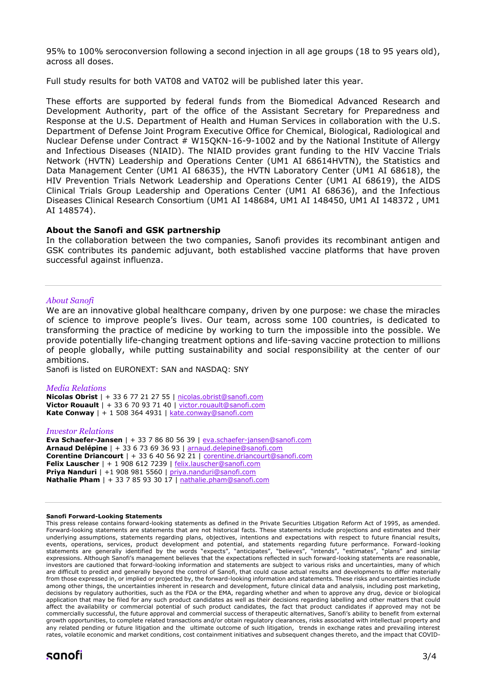95% to 100% seroconversion following a second injection in all age groups (18 to 95 years old), across all doses.

Full study results for both VAT08 and VAT02 will be published later this year.

These efforts are supported by federal funds from the Biomedical Advanced Research and Development Authority, part of the office of the Assistant Secretary for Preparedness and Response at the U.S. Department of Health and Human Services in collaboration with the U.S. Department of Defense Joint Program Executive Office for Chemical, Biological, Radiological and Nuclear Defense under Contract # W15QKN-16-9-1002 and by the National Institute of Allergy and Infectious Diseases (NIAID). The NIAID provides grant funding to the HIV Vaccine Trials Network (HVTN) Leadership and Operations Center (UM1 AI 68614HVTN), the Statistics and Data Management Center (UM1 AI 68635), the HVTN Laboratory Center (UM1 AI 68618), the HIV Prevention Trials Network Leadership and Operations Center (UM1 AI 68619), the AIDS Clinical Trials Group Leadership and Operations Center (UM1 AI 68636), and the Infectious Diseases Clinical Research Consortium (UM1 AI 148684, UM1 AI 148450, UM1 AI 148372 , UM1 AI 148574).

#### **About the Sanofi and GSK partnership**

In the collaboration between the two companies, Sanofi provides its recombinant antigen and GSK contributes its pandemic adjuvant, both established vaccine platforms that have proven successful against influenza.

#### *About Sanofi*

We are an innovative global healthcare company, driven by one purpose: we chase the miracles of science to improve people's lives. Our team, across some 100 countries, is dedicated to transforming the practice of medicine by working to turn the impossible into the possible. We provide potentially life-changing treatment options and life-saving vaccine protection to millions of people globally, while putting sustainability and social responsibility at the center of our ambitions.

Sanofi is listed on EURONEXT: SAN and NASDAQ: SNY

#### *Media Relations*

**Nicolas Obrist** | + 33 6 77 21 27 55 | [nicolas.obrist@sanofi.com](mailto:nicolas.obrist@sanofi.com) **Victor Rouault** | + 33 6 70 93 71 40 | [victor.rouault@sanofi.com](mailto:victor.rouault@sanofi.com) **Kate Conway** | + 1 508 364 4931 | kate.conway@sanofi.com

#### *Investor Relations*

**Eva Schaefer-Jansen** | + 33 7 86 80 56 39 | [eva.schaefer-jansen@sanofi.com](mailto:eva.schaefer-jansen@sanofi.com) **Arnaud Delépine** | + 33 6 73 69 36 93 | [arnaud.delepine@sanofi.com](mailto:arnaud.delepine@sanofi.com) **Corentine Driancourt** | + 33 6 40 56 92 21 | [corentine.driancourt@sanofi.com](mailto:corentine.driancourt@sanofi.com) **Felix Lauscher** | + 1 908 612 7239 | [felix.lauscher@sanofi.com](mailto:felix.lauscher@sanofi.com) **Priya Nanduri** | +1 908 981 5560 | [priya.nanduri@sanofi.com](mailto:priya.nanduri@sanofi.com) **Nathalie Pham** | + 33 7 85 93 30 17 | [nathalie.pham@sanofi.com](mailto:nathalie.pham@sanofi.com)

#### **Sanofi Forward-Looking Statements**

This press release contains forward-looking statements as defined in the Private Securities Litigation Reform Act of 1995, as amended. Forward-looking statements are statements that are not historical facts. These statements include projections and estimates and their underlying assumptions, statements regarding plans, objectives, intentions and expectations with respect to future financial results, events, operations, services, product development and potential, and statements regarding future performance. Forward-looking statements are generally identified by the words "expects", "anticipates", "believes", "intends", "estimates", "plans" and similar expressions. Although Sanofi's management believes that the expectations reflected in such forward-looking statements are reasonable, investors are cautioned that forward-looking information and statements are subject to various risks and uncertainties, many of which are difficult to predict and generally beyond the control of Sanofi, that could cause actual results and developments to differ materially from those expressed in, or implied or projected by, the forward-looking information and statements. These risks and uncertainties include among other things, the uncertainties inherent in research and development, future clinical data and analysis, including post marketing, decisions by regulatory authorities, such as the FDA or the EMA, regarding whether and when to approve any drug, device or biological application that may be filed for any such product candidates as well as their decisions regarding labelling and other matters that could affect the availability or commercial potential of such product candidates, the fact that product candidates if approved may not be commercially successful, the future approval and commercial success of therapeutic alternatives, Sanofi's ability to benefit from external growth opportunities, to complete related transactions and/or obtain regulatory clearances, risks associated with intellectual property and any related pending or future litigation and the ultimate outcome of such litigation, trends in exchange rates and prevailing interest rates, volatile economic and market conditions, cost containment initiatives and subsequent changes thereto, and the impact that COVID-